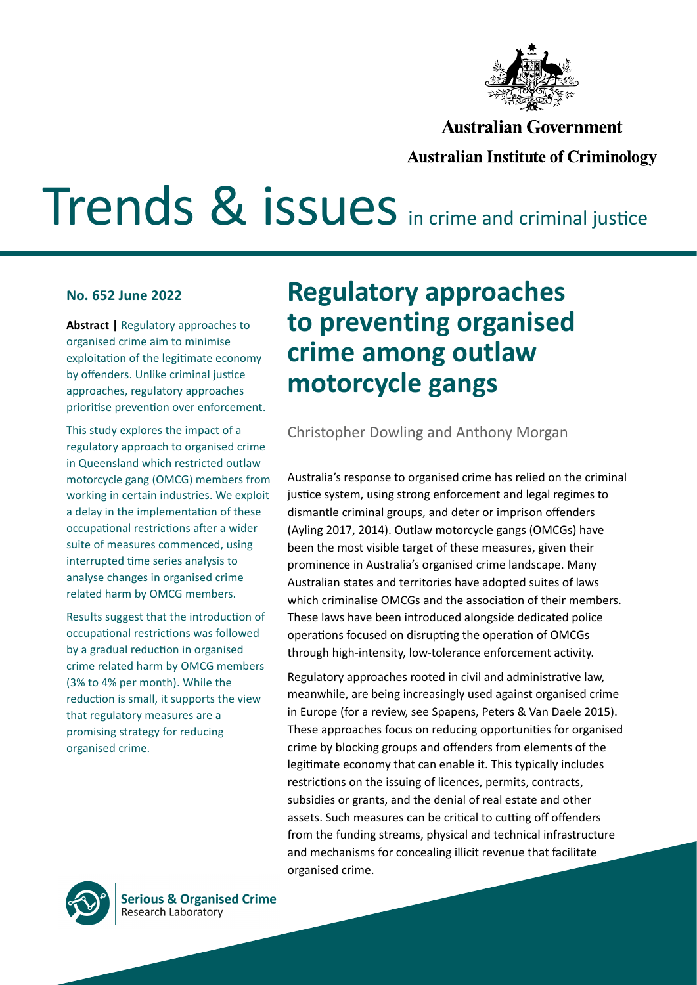

#### **Australian Government**

#### **Australian Institute of Criminology**

# **Trends & issues** in crime and criminal justice

#### **No. 652 June 2022**

**Abstract |** Regulatory approaches to organised crime aim to minimise exploitation of the legitimate economy by offenders. Unlike criminal justice approaches, regulatory approaches prioritise prevention over enforcement.

This study explores the impact of a regulatory approach to organised crime in Queensland which restricted outlaw motorcycle gang (OMCG) members from working in certain industries. We exploit a delay in the implementation of these occupational restrictions after a wider suite of measures commenced, using interrupted time series analysis to analyse changes in organised crime related harm by OMCG members.

Results suggest that the introduction of occupational restrictions was followed by a gradual reduction in organised crime related harm by OMCG members (3% to 4% per month). While the reduction is small, it supports the view that regulatory measures are a promising strategy for reducing organised crime.

## **Regulatory approaches to preventing organised crime among outlaw motorcycle gangs**

Christopher Dowling and Anthony Morgan

Australia's response to organised crime has relied on the criminal justice system, using strong enforcement and legal regimes to dismantle criminal groups, and deter or imprison offenders (Ayling 2017, 2014). Outlaw motorcycle gangs (OMCGs) have been the most visible target of these measures, given their prominence in Australia's organised crime landscape. Many Australian states and territories have adopted suites of laws which criminalise OMCGs and the association of their members. These laws have been introduced alongside dedicated police operations focused on disrupting the operation of OMCGs through high-intensity, low-tolerance enforcement activity.

Regulatory approaches rooted in civil and administrative law, meanwhile, are being increasingly used against organised crime in Europe (for a review, see Spapens, Peters & Van Daele 2015). These approaches focus on reducing opportunities for organised crime by blocking groups and offenders from elements of the legitimate economy that can enable it. This typically includes restrictions on the issuing of licences, permits, contracts, subsidies or grants, and the denial of real estate and other assets. Such measures can be critical to cutting off offenders from the funding streams, physical and technical infrastructure and mechanisms for concealing illicit revenue that facilitate organised crime.



**Serious & Organised Crime Research Laboratory**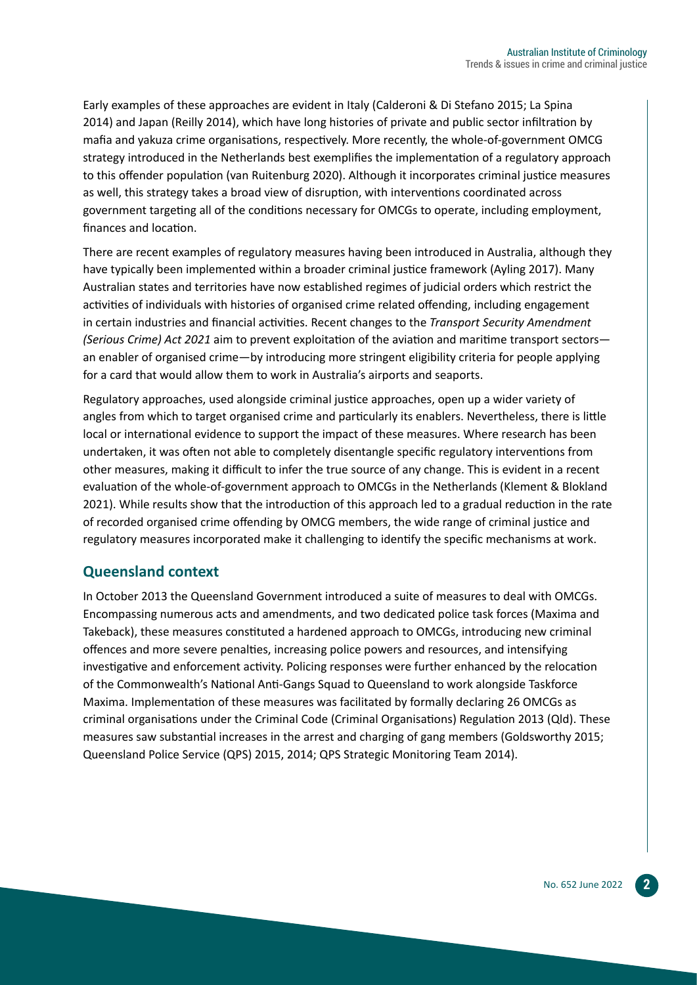Early examples of these approaches are evident in Italy (Calderoni & Di Stefano 2015; La Spina 2014) and Japan (Reilly 2014), which have long histories of private and public sector infiltration by mafia and yakuza crime organisations, respectively. More recently, the whole-of-government OMCG strategy introduced in the Netherlands best exemplifies the implementation of a regulatory approach to this offender population (van Ruitenburg 2020). Although it incorporates criminal justice measures as well, this strategy takes a broad view of disruption, with interventions coordinated across government targeting all of the conditions necessary for OMCGs to operate, including employment, finances and location.

There are recent examples of regulatory measures having been introduced in Australia, although they have typically been implemented within a broader criminal justice framework (Ayling 2017). Many Australian states and territories have now established regimes of judicial orders which restrict the activities of individuals with histories of organised crime related offending, including engagement in certain industries and financial activities. Recent changes to the *Transport Security Amendment (Serious Crime) Act 2021* aim to prevent exploitation of the aviation and maritime transport sectors an enabler of organised crime—by introducing more stringent eligibility criteria for people applying for a card that would allow them to work in Australia's airports and seaports.

Regulatory approaches, used alongside criminal justice approaches, open up a wider variety of angles from which to target organised crime and particularly its enablers. Nevertheless, there is little local or international evidence to support the impact of these measures. Where research has been undertaken, it was often not able to completely disentangle specific regulatory interventions from other measures, making it difficult to infer the true source of any change. This is evident in a recent evaluation of the whole-of-government approach to OMCGs in the Netherlands (Klement & Blokland 2021). While results show that the introduction of this approach led to a gradual reduction in the rate of recorded organised crime offending by OMCG members, the wide range of criminal justice and regulatory measures incorporated make it challenging to identify the specific mechanisms at work.

#### **Queensland context**

In October 2013 the Queensland Government introduced a suite of measures to deal with OMCGs. Encompassing numerous acts and amendments, and two dedicated police task forces (Maxima and Takeback), these measures constituted a hardened approach to OMCGs, introducing new criminal offences and more severe penalties, increasing police powers and resources, and intensifying investigative and enforcement activity. Policing responses were further enhanced by the relocation of the Commonwealth's National Anti-Gangs Squad to Queensland to work alongside Taskforce Maxima. Implementation of these measures was facilitated by formally declaring 26 OMCGs as criminal organisations under the Criminal Code (Criminal Organisations) Regulation 2013 (Qld). These measures saw substantial increases in the arrest and charging of gang members (Goldsworthy 2015; Queensland Police Service (QPS) 2015, 2014; QPS Strategic Monitoring Team 2014).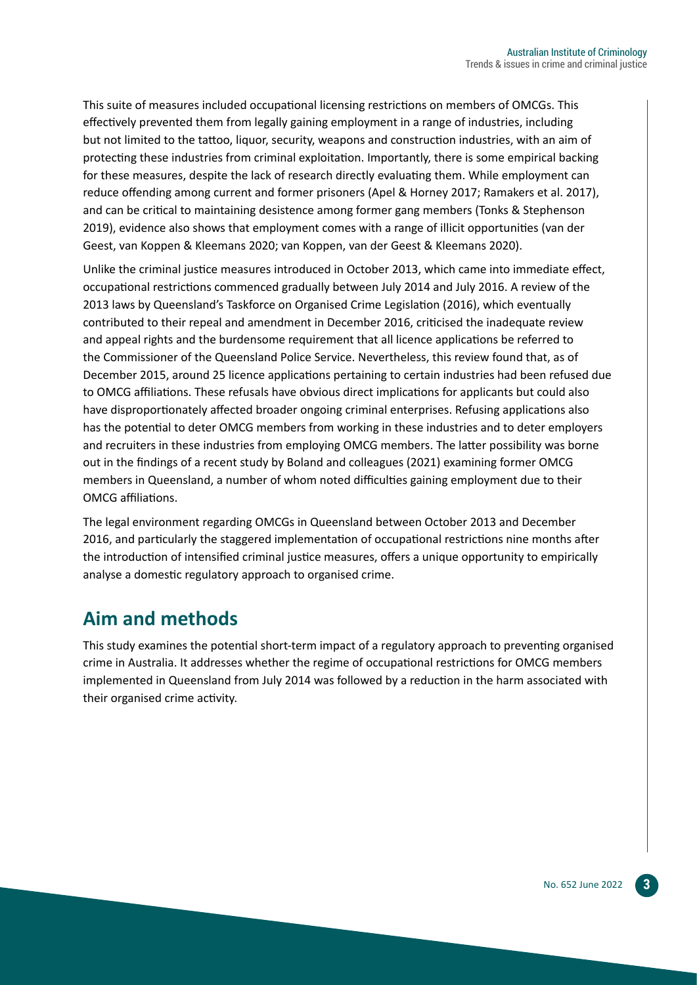This suite of measures included occupational licensing restrictions on members of OMCGs. This effectively prevented them from legally gaining employment in a range of industries, including but not limited to the tattoo, liquor, security, weapons and construction industries, with an aim of protecting these industries from criminal exploitation. Importantly, there is some empirical backing for these measures, despite the lack of research directly evaluating them. While employment can reduce offending among current and former prisoners (Apel & Horney 2017; Ramakers et al. 2017), and can be critical to maintaining desistence among former gang members (Tonks & Stephenson 2019), evidence also shows that employment comes with a range of illicit opportunities (van der Geest, van Koppen & Kleemans 2020; van Koppen, van der Geest & Kleemans 2020).

Unlike the criminal justice measures introduced in October 2013, which came into immediate effect, occupational restrictions commenced gradually between July 2014 and July 2016. A review of the 2013 laws by Queensland's Taskforce on Organised Crime Legislation (2016), which eventually contributed to their repeal and amendment in December 2016, criticised the inadequate review and appeal rights and the burdensome requirement that all licence applications be referred to the Commissioner of the Queensland Police Service. Nevertheless, this review found that, as of December 2015, around 25 licence applications pertaining to certain industries had been refused due to OMCG affiliations. These refusals have obvious direct implications for applicants but could also have disproportionately affected broader ongoing criminal enterprises. Refusing applications also has the potential to deter OMCG members from working in these industries and to deter employers and recruiters in these industries from employing OMCG members. The latter possibility was borne out in the findings of a recent study by Boland and colleagues (2021) examining former OMCG members in Queensland, a number of whom noted difficulties gaining employment due to their OMCG affiliations.

The legal environment regarding OMCGs in Queensland between October 2013 and December 2016, and particularly the staggered implementation of occupational restrictions nine months after the introduction of intensified criminal justice measures, offers a unique opportunity to empirically analyse a domestic regulatory approach to organised crime.

## **Aim and methods**

This study examines the potential short-term impact of a regulatory approach to preventing organised crime in Australia. It addresses whether the regime of occupational restrictions for OMCG members implemented in Queensland from July 2014 was followed by a reduction in the harm associated with their organised crime activity.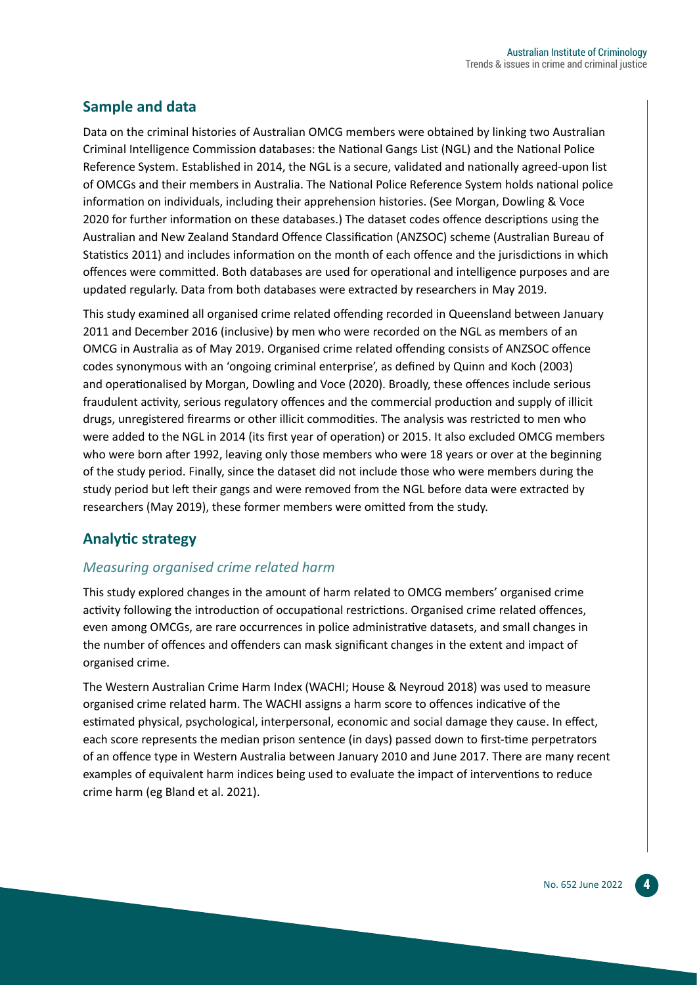#### **Sample and data**

Data on the criminal histories of Australian OMCG members were obtained by linking two Australian Criminal Intelligence Commission databases: the National Gangs List (NGL) and the National Police Reference System. Established in 2014, the NGL is a secure, validated and nationally agreed-upon list of OMCGs and their members in Australia. The National Police Reference System holds national police information on individuals, including their apprehension histories. (See Morgan, Dowling & Voce 2020 for further information on these databases.) The dataset codes offence descriptions using the Australian and New Zealand Standard Offence Classification (ANZSOC) scheme (Australian Bureau of Statistics 2011) and includes information on the month of each offence and the jurisdictions in which offences were committed. Both databases are used for operational and intelligence purposes and are updated regularly. Data from both databases were extracted by researchers in May 2019.

This study examined all organised crime related offending recorded in Queensland between January 2011 and December 2016 (inclusive) by men who were recorded on the NGL as members of an OMCG in Australia as of May 2019. Organised crime related offending consists of ANZSOC offence codes synonymous with an 'ongoing criminal enterprise', as defined by Quinn and Koch (2003) and operationalised by Morgan, Dowling and Voce (2020). Broadly, these offences include serious fraudulent activity, serious regulatory offences and the commercial production and supply of illicit drugs, unregistered firearms or other illicit commodities. The analysis was restricted to men who were added to the NGL in 2014 (its first year of operation) or 2015. It also excluded OMCG members who were born after 1992, leaving only those members who were 18 years or over at the beginning of the study period. Finally, since the dataset did not include those who were members during the study period but left their gangs and were removed from the NGL before data were extracted by researchers (May 2019), these former members were omitted from the study.

#### **Analytic strategy**

#### *Measuring organised crime related harm*

This study explored changes in the amount of harm related to OMCG members' organised crime activity following the introduction of occupational restrictions. Organised crime related offences, even among OMCGs, are rare occurrences in police administrative datasets, and small changes in the number of offences and offenders can mask significant changes in the extent and impact of organised crime.

The Western Australian Crime Harm Index (WACHI; House & Neyroud 2018) was used to measure organised crime related harm. The WACHI assigns a harm score to offences indicative of the estimated physical, psychological, interpersonal, economic and social damage they cause. In effect, each score represents the median prison sentence (in days) passed down to first-time perpetrators of an offence type in Western Australia between January 2010 and June 2017. There are many recent examples of equivalent harm indices being used to evaluate the impact of interventions to reduce crime harm (eg Bland et al. 2021).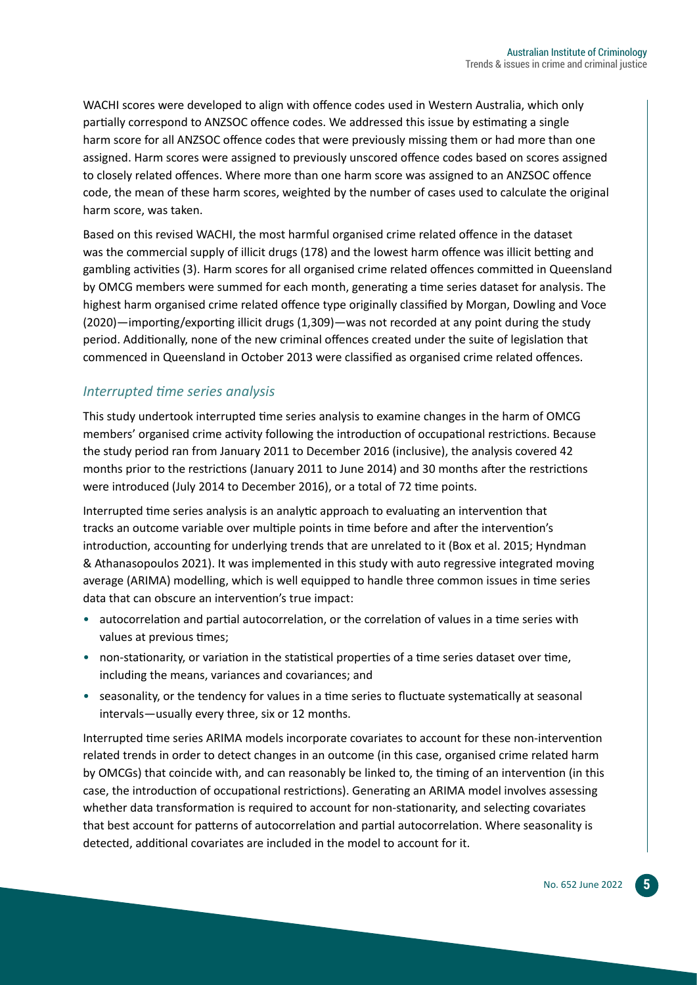WACHI scores were developed to align with offence codes used in Western Australia, which only partially correspond to ANZSOC offence codes. We addressed this issue by estimating a single harm score for all ANZSOC offence codes that were previously missing them or had more than one assigned. Harm scores were assigned to previously unscored offence codes based on scores assigned to closely related offences. Where more than one harm score was assigned to an ANZSOC offence code, the mean of these harm scores, weighted by the number of cases used to calculate the original harm score, was taken.

Based on this revised WACHI, the most harmful organised crime related offence in the dataset was the commercial supply of illicit drugs (178) and the lowest harm offence was illicit betting and gambling activities (3). Harm scores for all organised crime related offences committed in Queensland by OMCG members were summed for each month, generating a time series dataset for analysis. The highest harm organised crime related offence type originally classified by Morgan, Dowling and Voce (2020)—importing/exporting illicit drugs (1,309)—was not recorded at any point during the study period. Additionally, none of the new criminal offences created under the suite of legislation that commenced in Queensland in October 2013 were classified as organised crime related offences.

#### *Interrupted time series analysis*

This study undertook interrupted time series analysis to examine changes in the harm of OMCG members' organised crime activity following the introduction of occupational restrictions. Because the study period ran from January 2011 to December 2016 (inclusive), the analysis covered 42 months prior to the restrictions (January 2011 to June 2014) and 30 months after the restrictions were introduced (July 2014 to December 2016), or a total of 72 time points.

Interrupted time series analysis is an analytic approach to evaluating an intervention that tracks an outcome variable over multiple points in time before and after the intervention's introduction, accounting for underlying trends that are unrelated to it (Box et al. 2015; Hyndman & Athanasopoulos 2021). It was implemented in this study with auto regressive integrated moving average (ARIMA) modelling, which is well equipped to handle three common issues in time series data that can obscure an intervention's true impact:

- autocorrelation and partial autocorrelation, or the correlation of values in a time series with values at previous times;
- non-stationarity, or variation in the statistical properties of a time series dataset over time, including the means, variances and covariances; and
- seasonality, or the tendency for values in a time series to fluctuate systematically at seasonal intervals—usually every three, six or 12 months.

Interrupted time series ARIMA models incorporate covariates to account for these non-intervention related trends in order to detect changes in an outcome (in this case, organised crime related harm by OMCGs) that coincide with, and can reasonably be linked to, the timing of an intervention (in this case, the introduction of occupational restrictions). Generating an ARIMA model involves assessing whether data transformation is required to account for non-stationarity, and selecting covariates that best account for patterns of autocorrelation and partial autocorrelation. Where seasonality is detected, additional covariates are included in the model to account for it.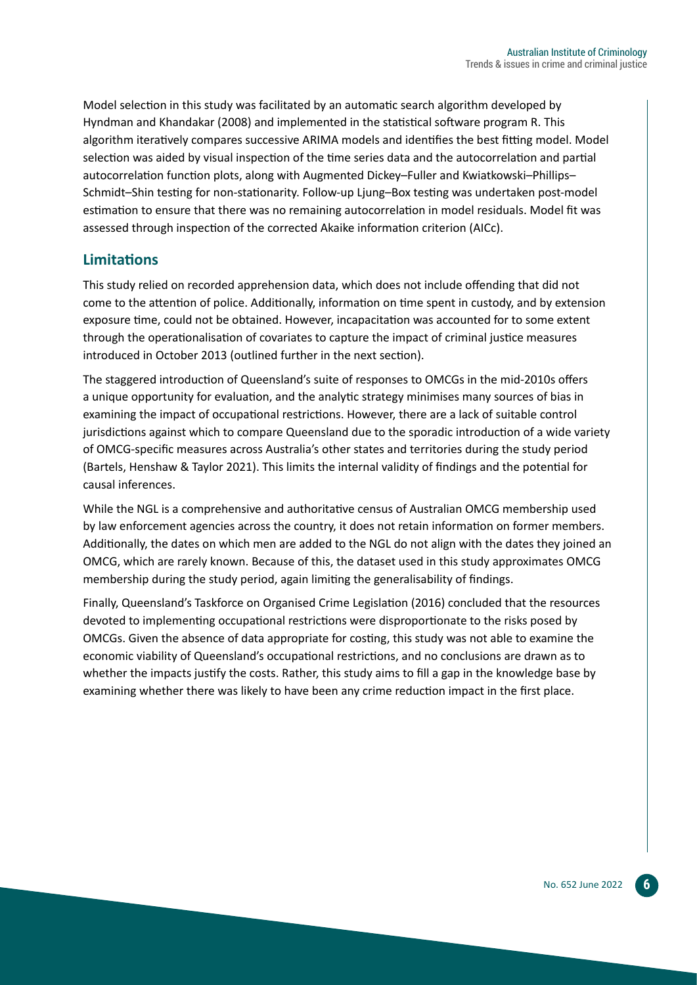Model selection in this study was facilitated by an automatic search algorithm developed by Hyndman and Khandakar (2008) and implemented in the statistical software program R. This algorithm iteratively compares successive ARIMA models and identifies the best fitting model. Model selection was aided by visual inspection of the time series data and the autocorrelation and partial autocorrelation function plots, along with Augmented Dickey–Fuller and Kwiatkowski–Phillips– Schmidt–Shin testing for non-stationarity. Follow-up Ljung–Box testing was undertaken post-model estimation to ensure that there was no remaining autocorrelation in model residuals. Model fit was assessed through inspection of the corrected Akaike information criterion (AICc).

#### **Limitations**

This study relied on recorded apprehension data, which does not include offending that did not come to the attention of police. Additionally, information on time spent in custody, and by extension exposure time, could not be obtained. However, incapacitation was accounted for to some extent through the operationalisation of covariates to capture the impact of criminal justice measures introduced in October 2013 (outlined further in the next section).

The staggered introduction of Queensland's suite of responses to OMCGs in the mid-2010s offers a unique opportunity for evaluation, and the analytic strategy minimises many sources of bias in examining the impact of occupational restrictions. However, there are a lack of suitable control jurisdictions against which to compare Queensland due to the sporadic introduction of a wide variety of OMCG-specific measures across Australia's other states and territories during the study period (Bartels, Henshaw & Taylor 2021). This limits the internal validity of findings and the potential for causal inferences.

While the NGL is a comprehensive and authoritative census of Australian OMCG membership used by law enforcement agencies across the country, it does not retain information on former members. Additionally, the dates on which men are added to the NGL do not align with the dates they joined an OMCG, which are rarely known. Because of this, the dataset used in this study approximates OMCG membership during the study period, again limiting the generalisability of findings.

Finally, Queensland's Taskforce on Organised Crime Legislation (2016) concluded that the resources devoted to implementing occupational restrictions were disproportionate to the risks posed by OMCGs. Given the absence of data appropriate for costing, this study was not able to examine the economic viability of Queensland's occupational restrictions, and no conclusions are drawn as to whether the impacts justify the costs. Rather, this study aims to fill a gap in the knowledge base by examining whether there was likely to have been any crime reduction impact in the first place.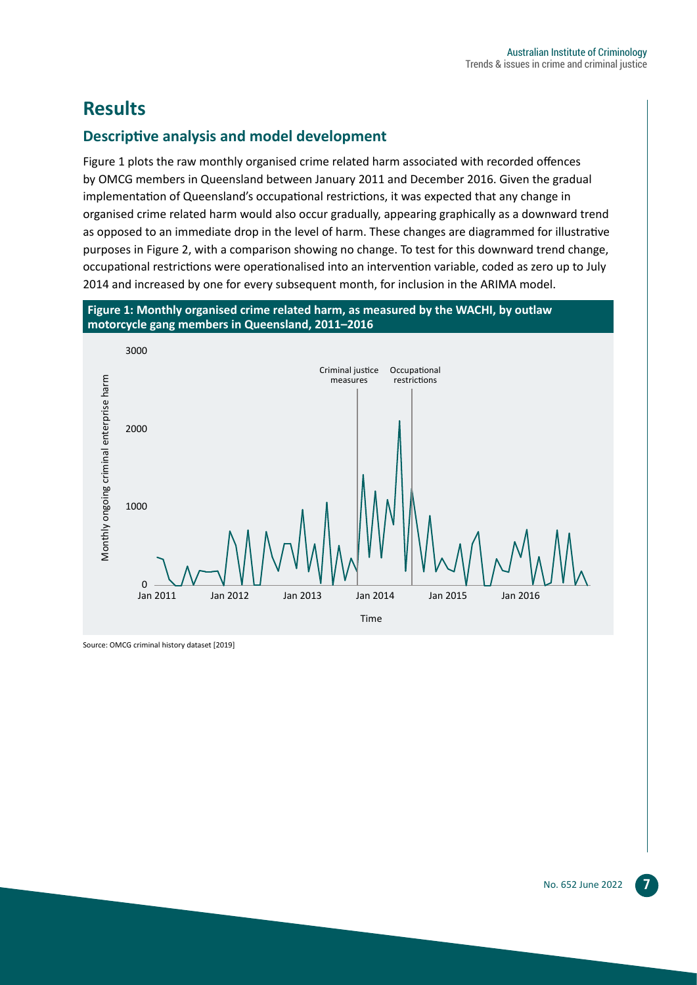## **Results**

#### **Descriptive analysis and model development**

Figure 1 plots the raw monthly organised crime related harm associated with recorded offences by OMCG members in Queensland between January 2011 and December 2016. Given the gradual implementation of Queensland's occupational restrictions, it was expected that any change in organised crime related harm would also occur gradually, appearing graphically as a downward trend as opposed to an immediate drop in the level of harm. These changes are diagrammed for illustrative purposes in Figure 2, with a comparison showing no change. To test for this downward trend change, occupational restrictions were operationalised into an intervention variable, coded as zero up to July 2014 and increased by one for every subsequent month, for inclusion in the ARIMA model.

#### **Figure 1: Monthly organised crime related harm, as measured by the WACHI, by outlaw motorcycle gang members in Queensland, 2011–2016**



Source: OMCG criminal history dataset [2019]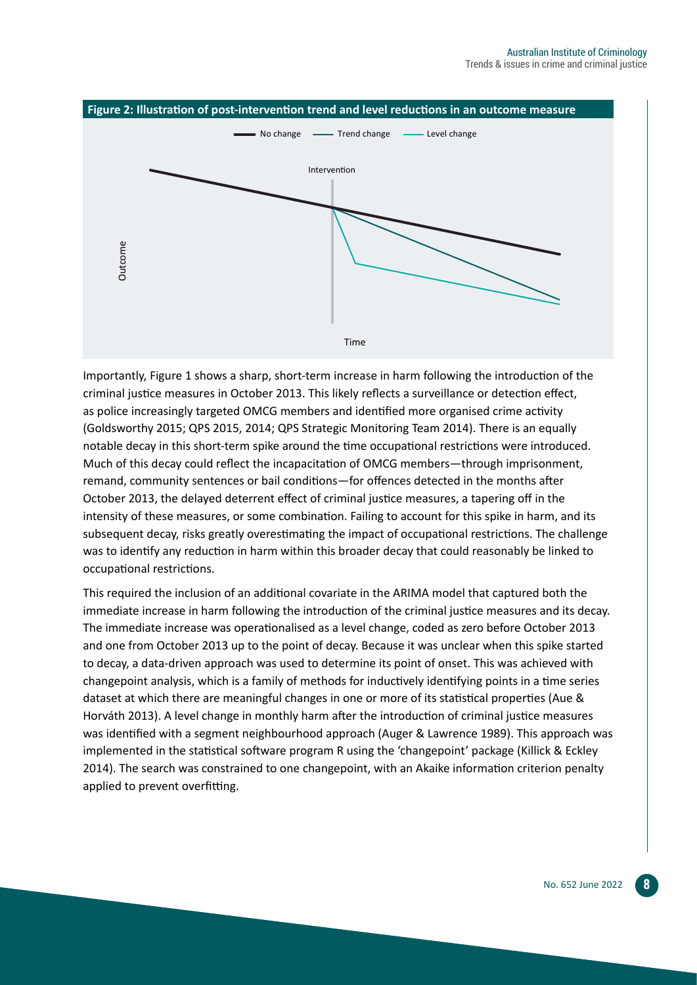

Importantly, Figure 1 shows a sharp, short-term increase in harm following the introduction of the criminal justice measures in October 2013. This likely reflects a surveillance or detection effect, as police increasingly targeted OMCG members and identified more organised crime activity (Goldsworthy 2015; QPS 2015, 2014; QPS Strategic Monitoring Team 2014). There is an equally notable decay in this short-term spike around the time occupational restrictions were introduced. Much of this decay could reflect the incapacitation of OMCG members—through imprisonment, remand, community sentences or bail conditions—for offences detected in the months after October 2013, the delayed deterrent effect of criminal justice measures, a tapering off in the intensity of these measures, or some combination. Failing to account for this spike in harm, and its subsequent decay, risks greatly overestimating the impact of occupational restrictions. The challenge was to identify any reduction in harm within this broader decay that could reasonably be linked to occupational restrictions.

This required the inclusion of an additional covariate in the ARIMA model that captured both the immediate increase in harm following the introduction of the criminal justice measures and its decay. The immediate increase was operationalised as a level change, coded as zero before October 2013 and one from October 2013 up to the point of decay. Because it was unclear when this spike started to decay, a data-driven approach was used to determine its point of onset. This was achieved with changepoint analysis, which is a family of methods for inductively identifying points in a time series dataset at which there are meaningful changes in one or more of its statistical properties (Aue & Horváth 2013). A level change in monthly harm after the introduction of criminal justice measures was identified with a segment neighbourhood approach (Auger & Lawrence 1989). This approach was implemented in the statistical software program R using the 'changepoint' package (Killick & Eckley 2014). The search was constrained to one changepoint, with an Akaike information criterion penalty applied to prevent overfitting.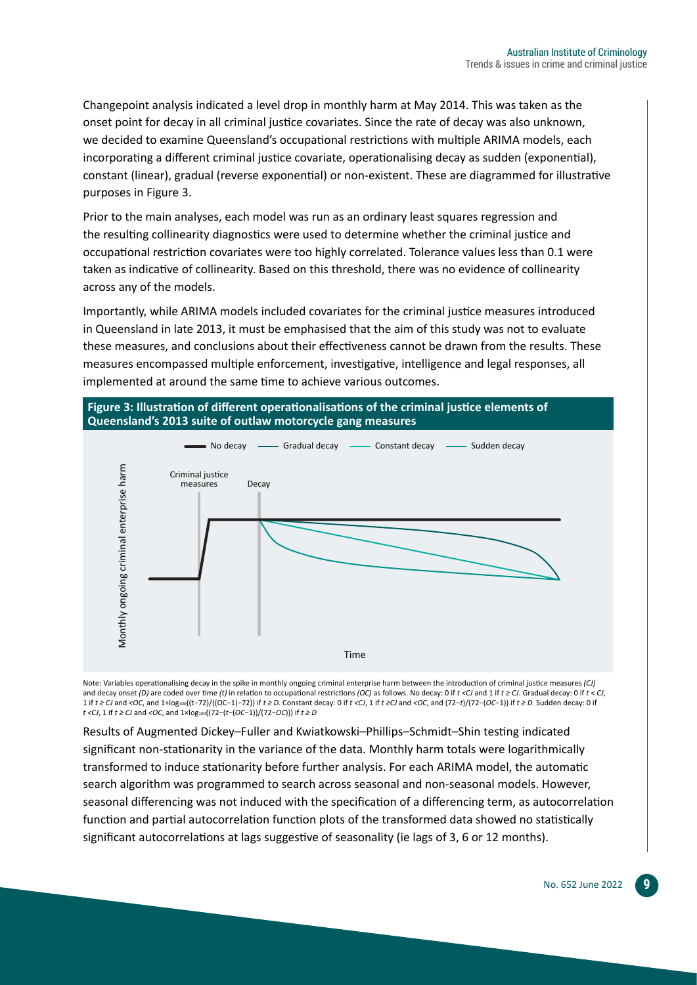Changepoint analysis indicated a level drop in monthly harm at May 2014. This was taken as the onset point for decay in all criminal justice covariates. Since the rate of decay was also unknown, we decided to examine Queensland's occupational restrictions with multiple ARIMA models, each incorporating a different criminal justice covariate, operationalising decay as sudden (exponential), constant (linear), gradual (reverse exponential) or non-existent. These are diagrammed for illustrative purposes in Figure 3.

Prior to the main analyses, each model was run as an ordinary least squares regression and the resulting collinearity diagnostics were used to determine whether the criminal justice and occupational restriction covariates were too highly correlated. Tolerance values less than 0.1 were taken as indicative of collinearity. Based on this threshold, there was no evidence of collinearity across any of the models.

Importantly, while ARIMA models included covariates for the criminal justice measures introduced in Queensland in late 2013, it must be emphasised that the aim of this study was not to evaluate these measures, and conclusions about their effectiveness cannot be drawn from the results. These measures encompassed multiple enforcement, investigative, intelligence and legal responses, all implemented at around the same time to achieve various outcomes.



Note: Variables operationalising decay in the spike in monthly ongoing criminal enterprise harm between the introduction of criminal justice measures *(CJ)*  and decay onset *(D)* are coded over time *(t)* in relation to occupational restrictions *(OC)* as follows. No decay: 0 if *t <CJ* and 1 if *t ≥ CJ*. Gradual decay: 0 if *t < CJ*, 1 if  $t \ge C$  and <OC, and 1+log<sub>100</sub>((t-72)/((OC-1)-72)) if  $t \ge D$ . Constant decay: 0 if  $t$  <C/, 1 if  $t \ge C$  and <OC, and (72-t)/(72-(OC-1)) if  $t \ge D$ . Sudden decay: 0 if *t <CJ*, 1 if *t ≥ CJ* and *<OC*, and 1×log100((72−(*t*−(*OC*−1))/(72−*OC*))) if *t ≥ D*

Results of Augmented Dickey–Fuller and Kwiatkowski–Phillips–Schmidt–Shin testing indicated significant non-stationarity in the variance of the data. Monthly harm totals were logarithmically transformed to induce stationarity before further analysis. For each ARIMA model, the automatic search algorithm was programmed to search across seasonal and non-seasonal models. However, seasonal differencing was not induced with the specification of a differencing term, as autocorrelation function and partial autocorrelation function plots of the transformed data showed no statistically significant autocorrelations at lags suggestive of seasonality (ie lags of 3, 6 or 12 months).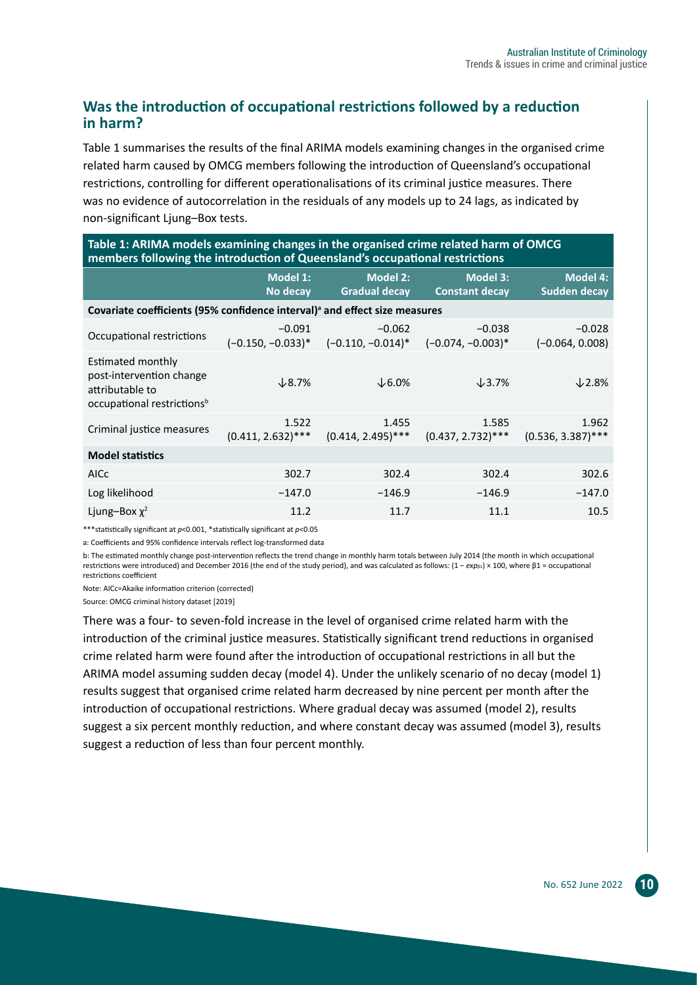#### **Was the introduction of occupational restrictions followed by a reduction in harm?**

Table 1 summarises the results of the final ARIMA models examining changes in the organised crime related harm caused by OMCG members following the introduction of Queensland's occupational restrictions, controlling for different operationalisations of its criminal justice measures. There was no evidence of autocorrelation in the residuals of any models up to 24 lags, as indicated by non‑significant Ljung–Box tests.

| Table 1: ARIMA models examining changes in the organised crime related harm of OMCG<br>members following the introduction of Queensland's occupational restrictions |                                  |                                         |                                          |                                        |  |  |
|---------------------------------------------------------------------------------------------------------------------------------------------------------------------|----------------------------------|-----------------------------------------|------------------------------------------|----------------------------------------|--|--|
|                                                                                                                                                                     | <b>Model 1:</b><br>No decay      | <b>Model 2:</b><br><b>Gradual decay</b> | <b>Model 3:</b><br><b>Constant decay</b> | <b>Model 4:</b><br><b>Sudden decay</b> |  |  |
| Covariate coefficients (95% confidence interval) <sup>a</sup> and effect size measures                                                                              |                                  |                                         |                                          |                                        |  |  |
| Occupational restrictions                                                                                                                                           | $-0.091$<br>$(-0.150, -0.033)^*$ | $-0.062$<br>$(-0.110, -0.014)^*$        | $-0.038$<br>$(-0.074, -0.003)*$          | $-0.028$<br>$(-0.064, 0.008)$          |  |  |
| Estimated monthly<br>post-intervention change<br>attributable to<br>occupational restrictions <sup>b</sup>                                                          | $\times$ 8.7%                    | $\downarrow$ 6.0%                       | $\downarrow$ 3.7%                        | $\downarrow$ 2.8%                      |  |  |
| Criminal justice measures                                                                                                                                           | 1.522<br>$(0.411, 2.632)$ ***    | 1.455<br>$(0.414, 2.495)$ ***           | 1.585<br>$(0.437, 2.732)$ ***            | 1.962<br>$(0.536, 3.387)$ ***          |  |  |
| <b>Model statistics</b>                                                                                                                                             |                                  |                                         |                                          |                                        |  |  |
| <b>AICc</b>                                                                                                                                                         | 302.7                            | 302.4                                   | 302.4                                    | 302.6                                  |  |  |
| Log likelihood                                                                                                                                                      | $-147.0$                         | $-146.9$                                | $-146.9$                                 | $-147.0$                               |  |  |
| Ljung-Box $\chi^2$                                                                                                                                                  | 11.2                             | 11.7                                    | 11.1                                     | 10.5                                   |  |  |

\*\*\*statistically significant at *p*<0.001, \*statistically significant at *p*<0.05

a: Coefficients and 95% confidence intervals reflect log-transformed data

b: The estimated monthly change post-intervention reflects the trend change in monthly harm totals between July 2014 (the month in which occupational restrictions were introduced) and December 2016 (the end of the study period), and was calculated as follows: (1 − *exp*β1) × 100, where β1 = occupational restrictions coefficient

Note: AICc=Akaike information criterion (corrected)

Source: OMCG criminal history dataset [2019]

There was a four- to seven-fold increase in the level of organised crime related harm with the introduction of the criminal justice measures. Statistically significant trend reductions in organised crime related harm were found after the introduction of occupational restrictions in all but the ARIMA model assuming sudden decay (model 4). Under the unlikely scenario of no decay (model 1) results suggest that organised crime related harm decreased by nine percent per month after the introduction of occupational restrictions. Where gradual decay was assumed (model 2), results suggest a six percent monthly reduction, and where constant decay was assumed (model 3), results suggest a reduction of less than four percent monthly.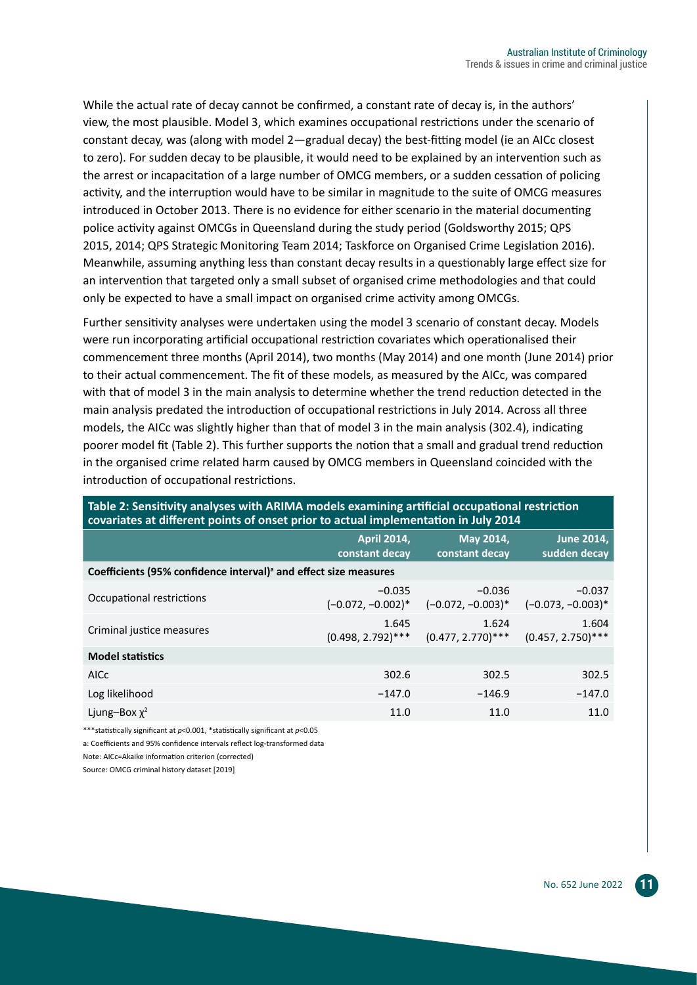While the actual rate of decay cannot be confirmed, a constant rate of decay is, in the authors' view, the most plausible. Model 3, which examines occupational restrictions under the scenario of constant decay, was (along with model 2—gradual decay) the best-fitting model (ie an AICc closest to zero). For sudden decay to be plausible, it would need to be explained by an intervention such as the arrest or incapacitation of a large number of OMCG members, or a sudden cessation of policing activity, and the interruption would have to be similar in magnitude to the suite of OMCG measures introduced in October 2013. There is no evidence for either scenario in the material documenting police activity against OMCGs in Queensland during the study period (Goldsworthy 2015; QPS 2015, 2014; QPS Strategic Monitoring Team 2014; Taskforce on Organised Crime Legislation 2016). Meanwhile, assuming anything less than constant decay results in a questionably large effect size for an intervention that targeted only a small subset of organised crime methodologies and that could only be expected to have a small impact on organised crime activity among OMCGs.

Further sensitivity analyses were undertaken using the model 3 scenario of constant decay. Models were run incorporating artificial occupational restriction covariates which operationalised their commencement three months (April 2014), two months (May 2014) and one month (June 2014) prior to their actual commencement. The fit of these models, as measured by the AICc, was compared with that of model 3 in the main analysis to determine whether the trend reduction detected in the main analysis predated the introduction of occupational restrictions in July 2014. Across all three models, the AICc was slightly higher than that of model 3 in the main analysis (302.4), indicating poorer model fit (Table 2). This further supports the notion that a small and gradual trend reduction in the organised crime related harm caused by OMCG members in Queensland coincided with the introduction of occupational restrictions.

| covariates at different points of onset prior to actual implementation in July 2014 |                                      |                                  |                                   |  |  |  |
|-------------------------------------------------------------------------------------|--------------------------------------|----------------------------------|-----------------------------------|--|--|--|
|                                                                                     | <b>April 2014,</b><br>constant decay | May 2014,<br>constant decay      | <b>June 2014,</b><br>sudden decay |  |  |  |
| Coefficients (95% confidence interval) <sup>a</sup> and effect size measures        |                                      |                                  |                                   |  |  |  |
| Occupational restrictions                                                           | $-0.035$<br>$(-0.072, -0.002)^*$     | $-0.036$<br>$(-0.072, -0.003)^*$ | $-0.037$<br>$(-0.073, -0.003)^*$  |  |  |  |
| Criminal justice measures                                                           | 1.645<br>$(0.498, 2.792)$ ***        | 1.624<br>$(0.477, 2.770)$ ***    | 1.604<br>$(0.457, 2.750)$ ***     |  |  |  |
| <b>Model statistics</b>                                                             |                                      |                                  |                                   |  |  |  |
| <b>AICC</b>                                                                         | 302.6                                | 302.5                            | 302.5                             |  |  |  |
| Log likelihood                                                                      | $-147.0$                             | $-146.9$                         | $-147.0$                          |  |  |  |
| Ljung-Box $\chi^2$                                                                  | 11.0                                 | 11.0                             | 11.0                              |  |  |  |

**Table 2: Sensitivity analyses with ARIMA models examining artificial occupational restriction** 

\*\*\*statistically significant at *p*<0.001, \*statistically significant at *p*<0.05

a: Coefficients and 95% confidence intervals reflect log-transformed data

Note: AICc=Akaike information criterion (corrected)

Source: OMCG criminal history dataset [2019]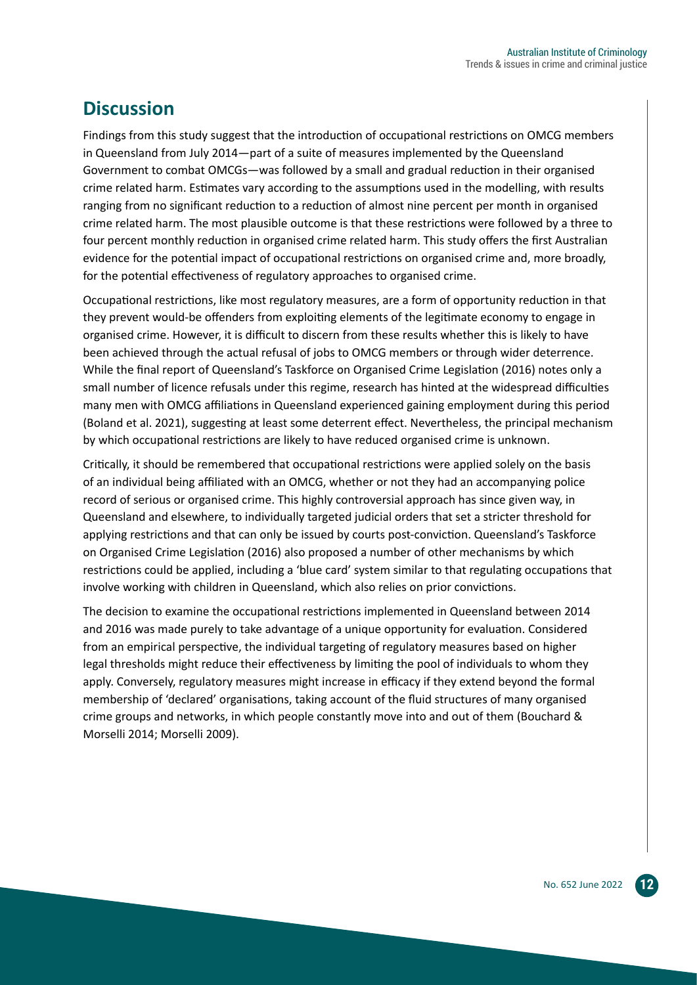## **Discussion**

Findings from this study suggest that the introduction of occupational restrictions on OMCG members in Queensland from July 2014—part of a suite of measures implemented by the Queensland Government to combat OMCGs—was followed by a small and gradual reduction in their organised crime related harm. Estimates vary according to the assumptions used in the modelling, with results ranging from no significant reduction to a reduction of almost nine percent per month in organised crime related harm. The most plausible outcome is that these restrictions were followed by a three to four percent monthly reduction in organised crime related harm. This study offers the first Australian evidence for the potential impact of occupational restrictions on organised crime and, more broadly, for the potential effectiveness of regulatory approaches to organised crime.

Occupational restrictions, like most regulatory measures, are a form of opportunity reduction in that they prevent would-be offenders from exploiting elements of the legitimate economy to engage in organised crime. However, it is difficult to discern from these results whether this is likely to have been achieved through the actual refusal of jobs to OMCG members or through wider deterrence. While the final report of Queensland's Taskforce on Organised Crime Legislation (2016) notes only a small number of licence refusals under this regime, research has hinted at the widespread difficulties many men with OMCG affiliations in Queensland experienced gaining employment during this period (Boland et al. 2021), suggesting at least some deterrent effect. Nevertheless, the principal mechanism by which occupational restrictions are likely to have reduced organised crime is unknown.

Critically, it should be remembered that occupational restrictions were applied solely on the basis of an individual being affiliated with an OMCG, whether or not they had an accompanying police record of serious or organised crime. This highly controversial approach has since given way, in Queensland and elsewhere, to individually targeted judicial orders that set a stricter threshold for applying restrictions and that can only be issued by courts post-conviction. Queensland's Taskforce on Organised Crime Legislation (2016) also proposed a number of other mechanisms by which restrictions could be applied, including a 'blue card' system similar to that regulating occupations that involve working with children in Queensland, which also relies on prior convictions.

The decision to examine the occupational restrictions implemented in Queensland between 2014 and 2016 was made purely to take advantage of a unique opportunity for evaluation. Considered from an empirical perspective, the individual targeting of regulatory measures based on higher legal thresholds might reduce their effectiveness by limiting the pool of individuals to whom they apply. Conversely, regulatory measures might increase in efficacy if they extend beyond the formal membership of 'declared' organisations, taking account of the fluid structures of many organised crime groups and networks, in which people constantly move into and out of them (Bouchard & Morselli 2014; Morselli 2009).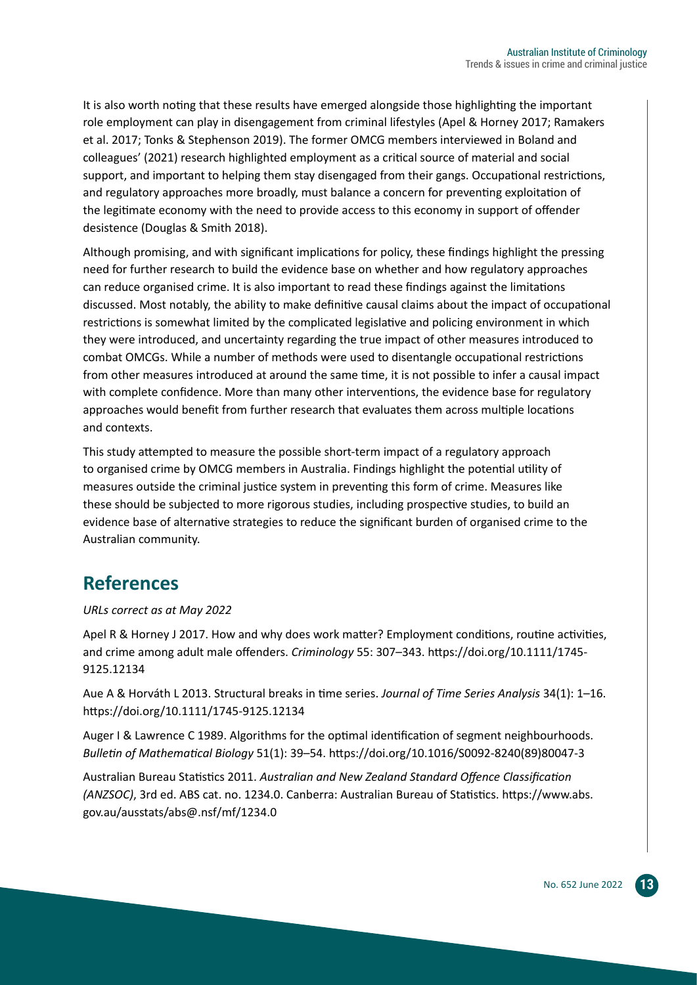It is also worth noting that these results have emerged alongside those highlighting the important role employment can play in disengagement from criminal lifestyles (Apel & Horney 2017; Ramakers et al. 2017; Tonks & Stephenson 2019). The former OMCG members interviewed in Boland and colleagues' (2021) research highlighted employment as a critical source of material and social support, and important to helping them stay disengaged from their gangs. Occupational restrictions, and regulatory approaches more broadly, must balance a concern for preventing exploitation of the legitimate economy with the need to provide access to this economy in support of offender desistence (Douglas & Smith 2018).

Although promising, and with significant implications for policy, these findings highlight the pressing need for further research to build the evidence base on whether and how regulatory approaches can reduce organised crime. It is also important to read these findings against the limitations discussed. Most notably, the ability to make definitive causal claims about the impact of occupational restrictions is somewhat limited by the complicated legislative and policing environment in which they were introduced, and uncertainty regarding the true impact of other measures introduced to combat OMCGs. While a number of methods were used to disentangle occupational restrictions from other measures introduced at around the same time, it is not possible to infer a causal impact with complete confidence. More than many other interventions, the evidence base for regulatory approaches would benefit from further research that evaluates them across multiple locations and contexts.

This study attempted to measure the possible short-term impact of a regulatory approach to organised crime by OMCG members in Australia. Findings highlight the potential utility of measures outside the criminal justice system in preventing this form of crime. Measures like these should be subjected to more rigorous studies, including prospective studies, to build an evidence base of alternative strategies to reduce the significant burden of organised crime to the Australian community.

## **References**

#### *URLs correct as at May 2022*

Apel R & Horney J 2017. How and why does work matter? Employment conditions, routine activities, and crime among adult male offenders. *Criminology* 55: 307–343. [https://doi.org/10.1111/1745-](https://doi.org/10.1111/1745-9125.12134) [9125.12134](https://doi.org/10.1111/1745-9125.12134)

Aue A & Horváth L 2013. Structural breaks in time series. *Journal of Time Series Analysis* 34(1): 1–16. <https://doi.org/10.1111/1745-9125.12134>

Auger I & Lawrence C 1989. Algorithms for the optimal identification of segment neighbourhoods. *Bulletin of Mathematical Biology* 51(1): 39–54. [https://doi.org/10.1016/S0092-8240\(89\)80047-3](https://doi.org/10.1016/S0092-8240(89)80047-3)

Australian Bureau Statistics 2011. *Australian and New Zealand Standard Offence Classification (ANZSOC)*, 3rd ed. ABS cat. no. 1234.0. Canberra: Australian Bureau of Statistics. [https://www.abs.](https://www.abs.gov.au/ausstats/abs@.nsf/mf/1234.0) [gov.au/ausstats/abs@.nsf/mf/1234.0](https://www.abs.gov.au/ausstats/abs@.nsf/mf/1234.0)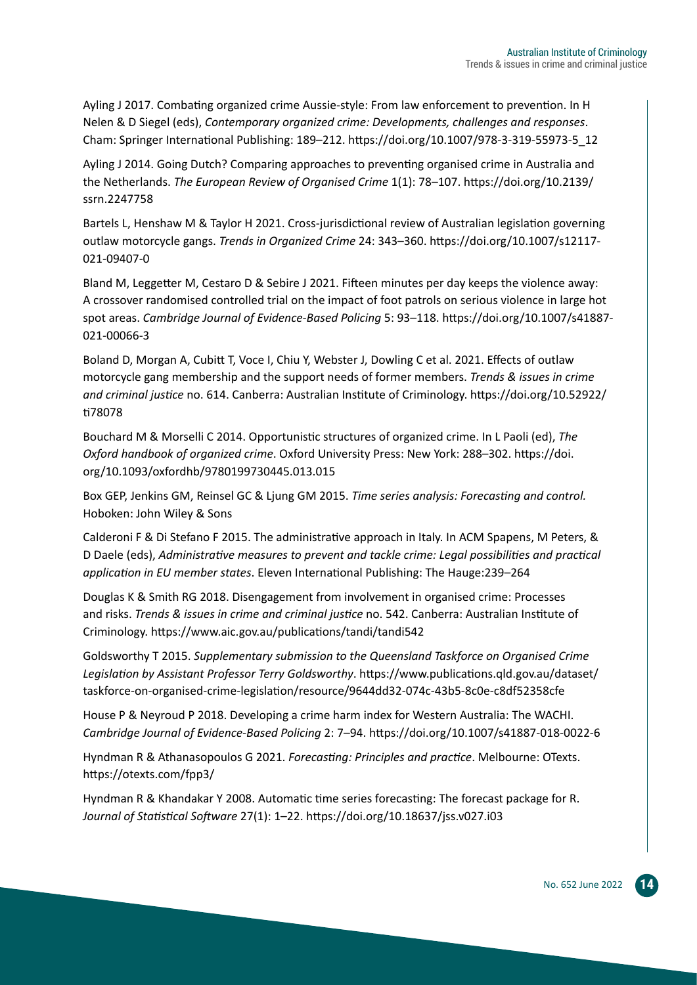Ayling J 2017. Combating organized crime Aussie-style: From law enforcement to prevention. In H Nelen & D Siegel (eds), *Contemporary organized crime: Developments, challenges and responses*. Cham: Springer International Publishing: 189–212. [https://doi.org/10.1007/978-3-319-55973-5\\_12](https://doi.org/10.1007/978-3-319-55973-5_12)

Ayling J 2014. Going Dutch? Comparing approaches to preventing organised crime in Australia and the Netherlands. *The European Review of Organised Crime* 1(1): 78–107. [https://doi.org/10.2139/](https://doi.org/10.2139/ssrn.2247758) [ssrn.2247758](https://doi.org/10.2139/ssrn.2247758)

Bartels L, Henshaw M & Taylor H 2021. Cross-jurisdictional review of Australian legislation governing outlaw motorcycle gangs. *Trends in Organized Crime* 24: 343–360. [https://doi.org/10.1007/s12117-](https://doi.org/10.1007/s12117-021-09407-0) [021-09407-0](https://doi.org/10.1007/s12117-021-09407-0)

Bland M, Leggetter M, Cestaro D & Sebire J 2021. Fifteen minutes per day keeps the violence away: A crossover randomised controlled trial on the impact of foot patrols on serious violence in large hot spot areas. *Cambridge Journal of Evidence-Based Policing* 5: 93–118. [https://doi.org/10.1007/s41887-](https://doi.org/10.1007/s41887-021-00066-3) [021-00066-3](https://doi.org/10.1007/s41887-021-00066-3)

Boland D, Morgan A, Cubitt T, Voce I, Chiu Y, Webster J, Dowling C et al. 2021. Effects of outlaw motorcycle gang membership and the support needs of former members. *Trends & issues in crime and criminal justice* no. 614. Canberra: Australian Institute of Criminology. [https://doi.org/10.52922/](https://doi.org/10.52922/ti78078) [ti78078](https://doi.org/10.52922/ti78078)

Bouchard M & Morselli C 2014. Opportunistic structures of organized crime. In L Paoli (ed), *The Oxford handbook of organized crime*. Oxford University Press: New York: 288–302. [https://doi.](https://doi.org/10.1093/oxfordhb/9780199730445.013.015) [org/10.1093/oxfordhb/9780199730445.013.015](https://doi.org/10.1093/oxfordhb/9780199730445.013.015)

Box GEP, Jenkins GM, Reinsel GC & Ljung GM 2015. *Time series analysis: Forecasting and control.* Hoboken: John Wiley & Sons

Calderoni F & Di Stefano F 2015. The administrative approach in Italy. In ACM Spapens, M Peters, & D Daele (eds), *Administrative measures to prevent and tackle crime: Legal possibilities and practical application in EU member states*. Eleven International Publishing: The Hauge:239–264

Douglas K & Smith RG 2018. Disengagement from involvement in organised crime: Processes and risks. *Trends & issues in crime and criminal justice* no. 542. Canberra: Australian Institute of Criminology. <https://www.aic.gov.au/publications/tandi/tandi542>

Goldsworthy T 2015. *Supplementary submission to the Queensland Taskforce on Organised Crime Legislation by Assistant Professor Terry Goldsworthy*. [https://www.publications.qld.gov.au/dataset/](https://www.publications.qld.gov.au/dataset/taskforce-on-organised-crime-legislation/resource/9644dd32-074c-43b5-8c0e-c8df52358cfe) [taskforce-on-organised-crime-legislation/resource/9644dd32-074c-43b5-8c0e-c8df52358cfe](https://www.publications.qld.gov.au/dataset/taskforce-on-organised-crime-legislation/resource/9644dd32-074c-43b5-8c0e-c8df52358cfe)

House P & Neyroud P 2018. Developing a crime harm index for Western Australia: The WACHI. *Cambridge Journal of Evidence-Based Policing* 2: 7–94.<https://doi.org/10.1007/s41887-018-0022-6>

Hyndman R & Athanasopoulos G 2021. *Forecasting: Principles and practice*. Melbourne: OTexts. <https://otexts.com/fpp3/>

Hyndman R & Khandakar Y 2008. Automatic time series forecasting: The forecast package for R. *Journal of Statistical Software* 27(1): 1–22. <https://doi.org/10.18637/jss.v027.i03>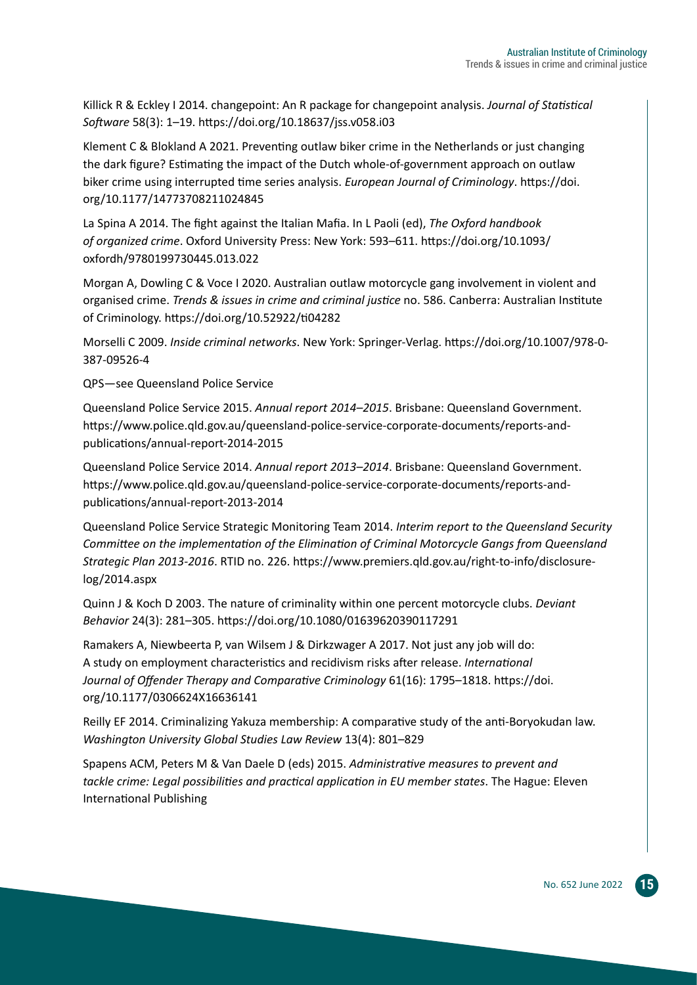Killick R & Eckley I 2014. changepoint: An R package for changepoint analysis. *Journal of Statistical Software* 58(3): 1–19. <https://doi.org/10.18637/jss.v058.i03>

Klement C & Blokland A 2021. Preventing outlaw biker crime in the Netherlands or just changing the dark figure? Estimating the impact of the Dutch whole-of-government approach on outlaw biker crime using interrupted time series analysis. *European Journal of Criminology*. [https://doi.](https://doi.org/10.1177/14773708211024845) [org/10.1177/14773708211024845](https://doi.org/10.1177/14773708211024845)

La Spina A 2014. The fight against the Italian Mafia. In L Paoli (ed), *The Oxford handbook of organized crime*. Oxford University Press: New York: 593–611. [https://doi.org/10.1093/](https://doi.org/10.1093/oxfordh/9780199730445.013.022) [oxfordh/9780199730445.013.022](https://doi.org/10.1093/oxfordh/9780199730445.013.022)

Morgan A, Dowling C & Voce I 2020. Australian outlaw motorcycle gang involvement in violent and organised crime. *Trends & issues in crime and criminal justice* no. 586. Canberra: Australian Institute of Criminology. <https://doi.org/10.52922/ti04282>

Morselli C 2009. *Inside criminal networks*. New York: Springer-Verlag. [https://doi.org/10.1007/978-0-](https://doi.org/10.1007/978-0-387-09526-4) [387-09526-4](https://doi.org/10.1007/978-0-387-09526-4)

QPS—see Queensland Police Service

Queensland Police Service 2015. *Annual report 2014–2015*. Brisbane: Queensland Government. [https://www.police.qld.gov.au/queensland-police-service-corporate-documents/reports-and](https://www.police.qld.gov.au/queensland-police-service-corporate-documents/reports-and-publications/annual-report-2014-2015)[publications/annual-report-2014-2015](https://www.police.qld.gov.au/queensland-police-service-corporate-documents/reports-and-publications/annual-report-2014-2015)

Queensland Police Service 2014. *Annual report 2013–2014*. Brisbane: Queensland Government. [https://www.police.qld.gov.au/queensland-police-service-corporate-documents/reports-and](https://www.police.qld.gov.au/queensland-police-service-corporate-documents/reports-and-publications/annual-report-2013-2014)[publications/annual-report-2013-2014](https://www.police.qld.gov.au/queensland-police-service-corporate-documents/reports-and-publications/annual-report-2013-2014)

Queensland Police Service Strategic Monitoring Team 2014. *Interim report to the Queensland Security Committee on the implementation of the Elimination of Criminal Motorcycle Gangs from Queensland Strategic Plan 2013-2016*. RTID no. 226. [https://www.premiers.qld.gov.au/right-to-info/disclosure](https://www.premiers.qld.gov.au/right-to-info/disclosure-log/2014.aspx)[log/2014.aspx](https://www.premiers.qld.gov.au/right-to-info/disclosure-log/2014.aspx)

Quinn J & Koch D 2003. The nature of criminality within one percent motorcycle clubs. *Deviant Behavior* 24(3): 281–305. <https://doi.org/10.1080/01639620390117291>

Ramakers A, Niewbeerta P, van Wilsem J & Dirkzwager A 2017. Not just any job will do: A study on employment characteristics and recidivism risks after release. *International Journal of Offender Therapy and Comparative Criminology* 61(16): 1795–1818. [https://doi.](https://doi.org/10.1177/0306624X16636141) [org/10.1177/0306624X16636141](https://doi.org/10.1177/0306624X16636141)

Reilly EF 2014. Criminalizing Yakuza membership: A comparative study of the anti-Boryokudan law. *Washington University Global Studies Law Review* 13(4): 801–829

Spapens ACM, Peters M & Van Daele D (eds) 2015. *Administrative measures to prevent and tackle crime: Legal possibilities and practical application in EU member states*. The Hague: Eleven International Publishing